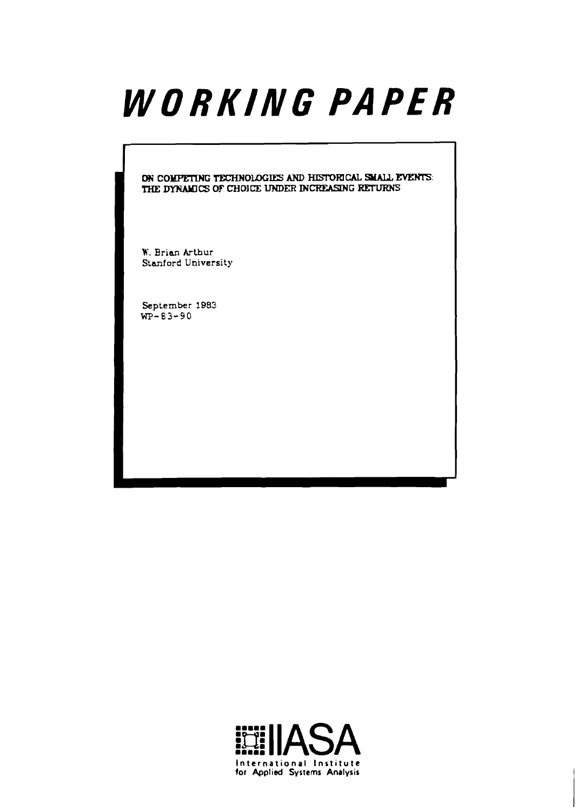# WORKING PAPER

ON COMPETING TECHNOLOGIES AND HISTORICAL SUALL EVENTS: THE DYNAMICS OF CHOICE UNDER INCREASING RETURNS

**W. Brian Arthur Stanford University** 

**September 1983**  WP-83-90

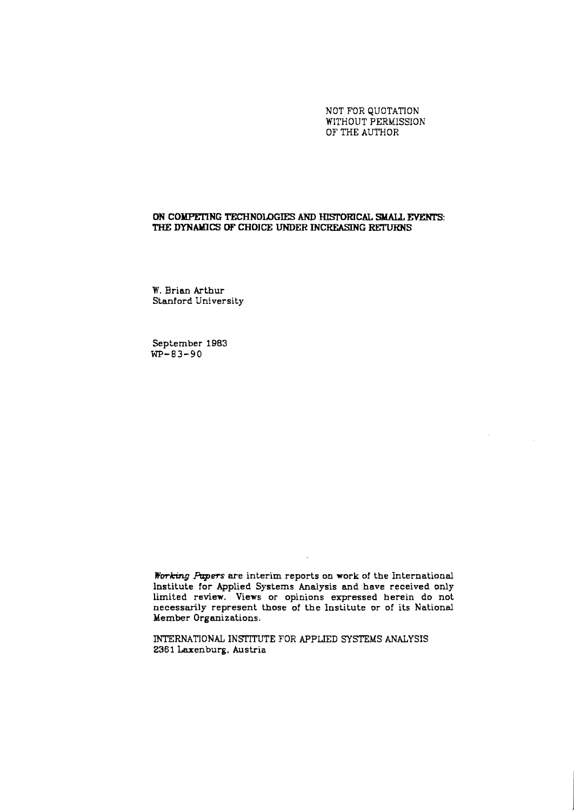NOT FOR QUOTATION WITHOUT PERMISSION OF **THE** AUTHOR

# ON COMPETING TECHNOLOGIES AND HISTORICAL SMALL EVENTS: THE DYNAMICS OF CHOICE UNDER INCREASING RETURNS

W. Brian Arthur Stanford University

September 1983 **WP-83-90** 

**Working Rpers** are interim reports on work of the International Institute for Applied Systems Analysis and have received only limited review. Views or opinions expressed herein do not necessarily represent those of the Institute or of its National Member Organizations.

INTERNATIONAL INSTITUTE FOR APPLIED SYSTEMS ANALYSIS 2361 Laxenburg, Austria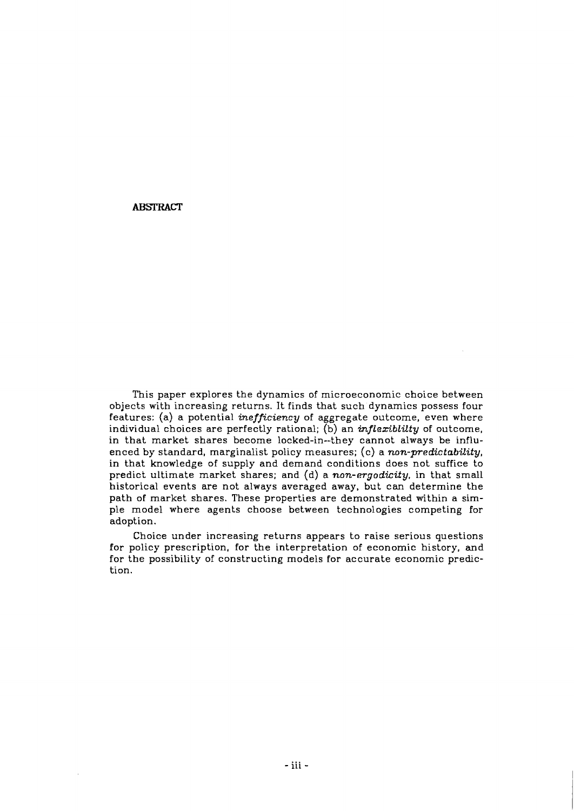# **ABSTRACT**

This paper explores the dynamics of microeconomic choice between objects with increasing returns. It finds that such dynamics possess four features: (a) a potential inefficiency of aggregate outcome, even where individual choices are perfectly rational;  $(b)$  an *inflexiblilty* of outcome, in that market shares become locked-in--they cannot always be influenced by standard, marginalist policy measures; (c) a non-predictability, in that knowledge of supply and demand conditions does not suffice to predict ultimate market shares; and (d) a non-ergodicity, in that small historical events are not always averaged away, but can determine the path of market shares. These properties are demonstrated within a simple model where agents choose between technologies competing for adoption.

Choice under increasing returns appears to raise serious questions for policy prescription, for the interpretation of economic history, **and**  for the possibility of constructing models for accurate economic prediction.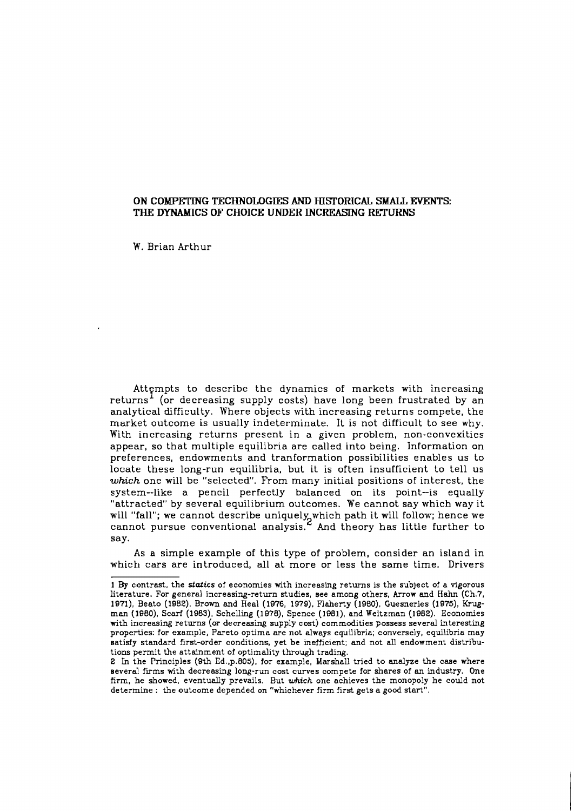# **ON COMPETING TECHNOLOGIES AND IUSTOFUCAL SMALL EVENTS: THE DYNAMICS OF CHOICE UNDER INCREASING RETURNS**

W. Brian Arthur

Attempts to describe the dynamics of markets with increasing returns' (or decreasing supply costs) have long been frustrated by an analytical difficulty. Where objects with increasing returns compete, the market outcome is usually indeterminate. It is not difficult to see why. With increasing returns present in a given problem, non-convexities appear, so that multiple equilibria are called into being. Information on preferences, endowments and tranformation possibilities enables us to locate these long-run equilibria, but it is often insufficient to tell us which one will be "selected". From many initial positions of interest, the system--like a pencil perfectly balanced on its point-is equally "attracted" by several equilibrium outcomes. We cannot say which way it will "fall"; we cannot describe uniquely which path it will follow; hence we cannot pursue conventional analysis. $\mathop{\varepsilon}\nolimits$  And theory has little further to say.

As a simple example of this type of problem, consider an island in which cars are introduced, all at more or less the same time. Drivers

<sup>1</sup> By contrast, the **stafics** of economies with increasing returns is the subject of a vigorous literature. For general increasing-return studies, see among others, Arrow and Hahn (Ch.7, 1971), Beato (1982), Brown and Heal (1976, 1979), Flaherty (1980), Guesneries (1975), Krugman (1980), Scarf (1983), Schelling (1978), Spence (1981), and Weitzman (1982). Economies with increasing returns (or decreasing supply cost) commodities possess several interesting properties: for example, Pareto optima are not always equilibria; conversely, equilibria may satisfy standard first-order conditions, yet be inefficient; and not all endowment distributions permit the attainment of optimality through trading.

<sup>2</sup> In the Principles (9th Ed.,p.BOs), for example, Marshall tried to analyze the case where several firms with decreasing long-run cost curves compete for shares of an industry. One firm, he showed, eventually prevails. But *which* one achieves the monopoly he could not determine : the outcome depended on "whichever firm first gets a good start".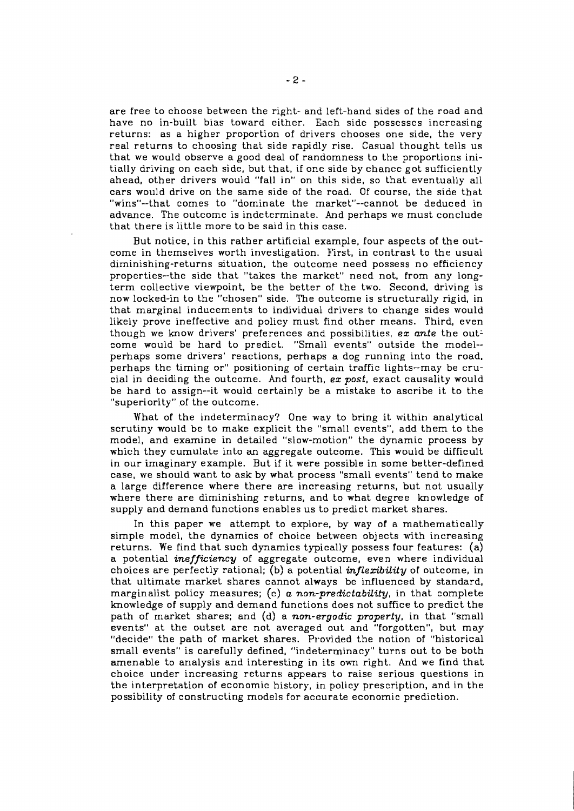are free to choose between the right- and left-hand sides of the road and have no in-built bias toward either. Each side possesses increasing returns: as a higher proportion of drivers chooses one side, the very real returns to choosing that side rapidly rise. Casual thought tells us that we would observe a good deal of randomness to the proportions initially driving on each side, but that, if one side by chance got sufficiently ahead, other drivers would "fall in" on this side, so that eventually all cars would drive on the same side of the road. Of course, the side that "wins"--that comes to "dominate the market"--cannot be deduced in advance. The outcome is indeterminate. And perhaps we must conclude that there is little more to be said in this case.

But notice, in this rather artificial example, four aspects of the outcome in themselves worth investigation. First, in contrast to the usual diminishing-returns situation, the outcome need possess no efficiency properties--the side that "takes the market" need not, from any longterm collective viewpoint, be the better of the two. Second, driving is now locked-in to the "chosen" side. The outcome is structurally rigid, in that marginal inducements to individual drivers to change sides would likely prove ineffective and policy must find other means. Third, even though we know drivers' preferences and possibilities, ex ante the outcome would be hard to predict. "Small events" outside the model- perhaps some drivers' reactions, perhaps a dog running into the road. perhaps the timing or" positioning of certain traffic lights--may be crucial in deciding the outcome. And fourth,  $ex$  post, exact causality would be hard to assign--it would certainly be a mistake to ascribe it to the "superiority" of the outcome.

What of the indeterminacy? One way to bring it within analytical scrutiny would be to make explicit the "small events", add them to the model, and examine in detailed "slow-motion" the dynamic process by which they cumulate into an aggregate outcome. This would be difficult in our imaginary example. But if it were possible in some better-defined case, we should want to ask by what process "small events" tend to make a large difference where there are increasing returns, but not usually where there are diminishing returns, and to what degree knowledge of supply and demand functions enables us to predict market shares.

In this paper we attempt to explore, by way of a mathematically simple model, the dynamics of choice between objects with increasing returns. We find that such dynamics typically possess four features: (a) a potential *inefficiency* of aggregate outcome, even where individual choices are perfectly rational; (b) a potential *inflexibility* of outcome, in that ultimate market shares cannot always be influenced by standard, marginalist policy measures; (c)  $a$  non-predictability, in that complete knowledge of supply and demand functions does not suffice to predict the path of market shares; and (d) a non-ergodic property, in that "small events" at the outset are not averaged out and "forgotten", but may "decide" the path of market shares. Provided the notion of "historical small events" is carefully defined, "indeterminacy" turns out to be both amenable to analysis and interesting in ils own right. And we find that choice under increasing returns appears to raise serious questions in the interpretation of economic history, in policy prescription, and in the possibility of constructing models for accurate economic prediction.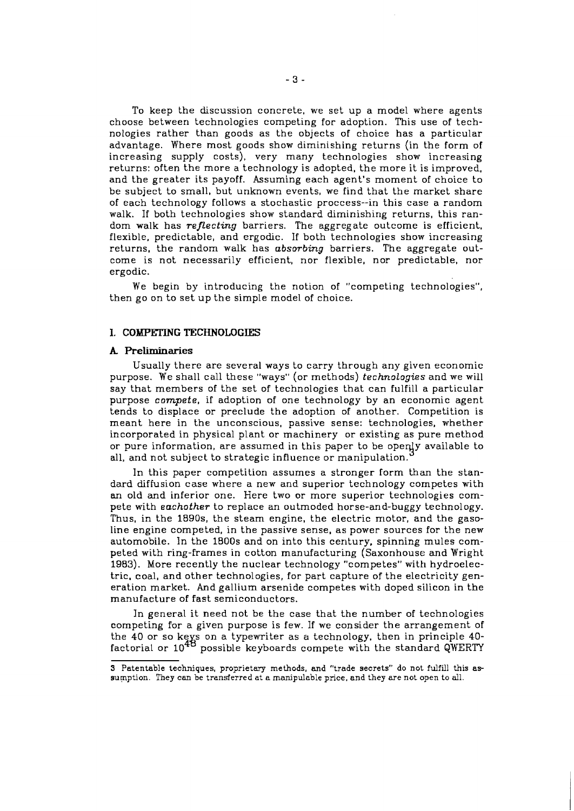To keep the discussion concrete, we set up a model where agents choose between technologies competing for adoption. This use of technologies rather than goods as the objects of choice has a particular advantage. Where most goods show diminishing returns (in the form of increasing supply costs), very many technologies show increasing returns: often the more a technology is adopted, the more it is improved, and the greater its payoff. Assuming each agent's moment of choice to be subject to small, but unknown events, we find that the market share of each technology follows a stochastic proccess--in this case a random walk. If both technologies show standard diminishing returns, this random walk has *reflecting* barriers. The aggregate outcome is efficient, flexible, predictable, and ergodic. If both technologies show increasing returns, the random walk has *absorbing* barriers. The aggregate outcome is not necessarily efficient, nor flexible, nor predictable, nor ergodic.

We begin by introducing the notion of "competing technologies", then go on to set up the simple model of choice.

## 1. COMPETING TECHNOLOGIES

#### **A Preliminaries**

Usually there are several ways to carry through any given economic purpose. We shall call these "ways" (or methods) *technologies* and we will say that members of the set of technologies that can fulfill a particular purpose *compete,* if adoption of one technology by an economic agent tends to displace or preclude the adoption of another. Competition is meant here in the unconscious, passive sense: technologies, whether incorporated in physical plant or machinery or existing as pure method or pure information, are assumed in this paper to be openly available to all, and not subject to strategic influence or manipulation.

In this paper competition assumes a stronger form than the standard diffusion case where a new and superior technology competes with an old and inferior one. Here two or more superior technologies compete with *eachother* to replace an outmoded horse-and-buggy technology. Thus, in the 1890s, the steam engine, the electric motor, and the gasoline engine competed, in the passive sense, as power sources for the new automobile. In the 1800s and on into this century, spinning mules competed with ring-frames in cotton manufacturing (Saxonhouse and Wright 1983). More recently the nuclear technology "competes" with hydroelectric. coal, and other technologies, for part capture of the electricity generation market. And gallium arsenide competes with doped silicon in the manufacture of fast semiconductors.

In general it need not be the case that the number of technologies competing for a given purpose is few. If we consider the arrangement of the 40 or so keys on a typewriter as a technology, then in principle 40factorial or 10<sup>48</sup> possible keyboards compete with the standard QWERTY

**<sup>3</sup>** Patentable techniques, proprietary methods, and "trade secrets" do not fulfill this as sumption. They can be transferred at a manipulable price, and they are not open to all.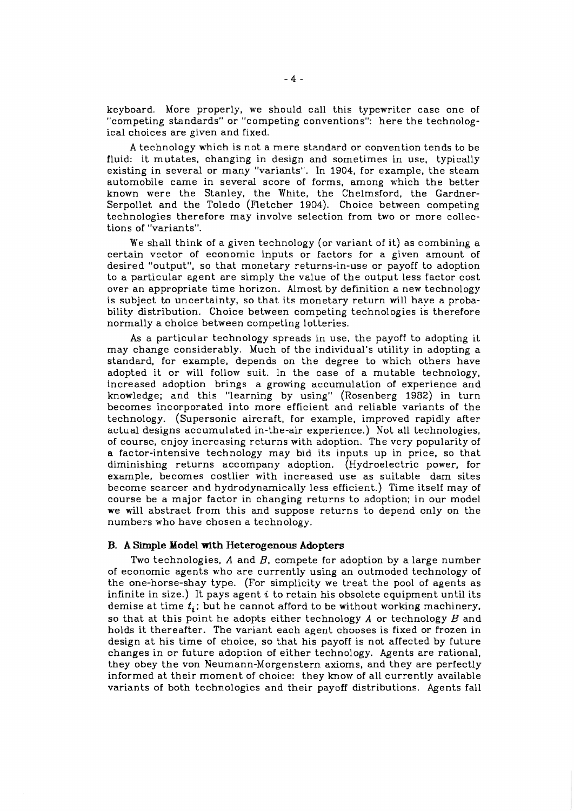keyboard. More properly, we should call this typewriter case one of "competing standards" or "competing conventions": here the technological choices are given and fixed.

A technology which is not a mere standard or convention tends to be fluid: it mutates, changing in design and sometimes in use, typically existing in several or many "variants". In 1904, for example, the steam automobile came in several score of forms, among which the better known were the Stanley, the White, the Chelmsford, the Gardner-Serpollet and the Toledo (Fletcher 1904). Choice between competing technologies therefore may involve selection from two or more collections of "variants".

We shall think of a given technology (or variant of it) as combining a certain vector of economic inputs or factors for a given amount of desired "output", so that monetary returns-in-use or payoff to adoption to a particular agent are simply the value of the output less factor cost over an appropriate time horizon. Almost by definition a new technology is subject to uncertainty, so that its monetary return will have a probability distribution. Choice between competing technologies is therefore normally a choice between competing lotteries.

As a particular technology spreads in use, the payoff to adopting it may change considerably. Much of the individual's utility in adopting a standard, for example, depends on the degree to which others have adopted it or will follow suit. In the case of a mutable technology, increased adoption brings a growing accumulation of experience and knowledge; and this "learning by using" (Rosenberg 1982) in turn becomes incorporated into more efficient and reliable variants of the technology. (Supersonic aircraft, for example, improved rapidly after actual designs accumulated in-the-air experience.) Not all technologies. of course, enjoy increasing returns with adoption. The very popularity of a factor-intensive technology may bid its inputs up in price, so that diminishing returns accompany adoption. (Hydroelectric power, for example, becomes costlier with increased use as suitable dam sites become scarcer and hydrodynamically less efficient.) Time itself may of course be a major factor in changing returns to adoption; in our model we will abstract from this and suppose returns to depend only on the numbers who have chosen a technology.

## **B. A Simple Model with Heterogenous Adopters**

Two technologies,  $A$  and  $B$ , compete for adoption by a large number of economic agents who are currently using an outmoded technology of the one-horse-shay type. (For simplicity we treat the pool of agents as infinite in size.) It pays agent **i** to retain his obsolete equipment until its demise at time  $t_i$ ; but he cannot afford to be without working machinery, so that at this point he adopts either technology *A* or technology B and holds it thereafter. The variant each agent chooses is fixed or frozen in design at his time of choice, so that his payoff is not affected by future changes in or future adoption of either technology. Agents are rational, they obey the von Neumann-Morgenstern axioms, and they are perfectly informed at their moment of choice: they know of all currently available variants of both technologies and their payoff distributions. Agents fall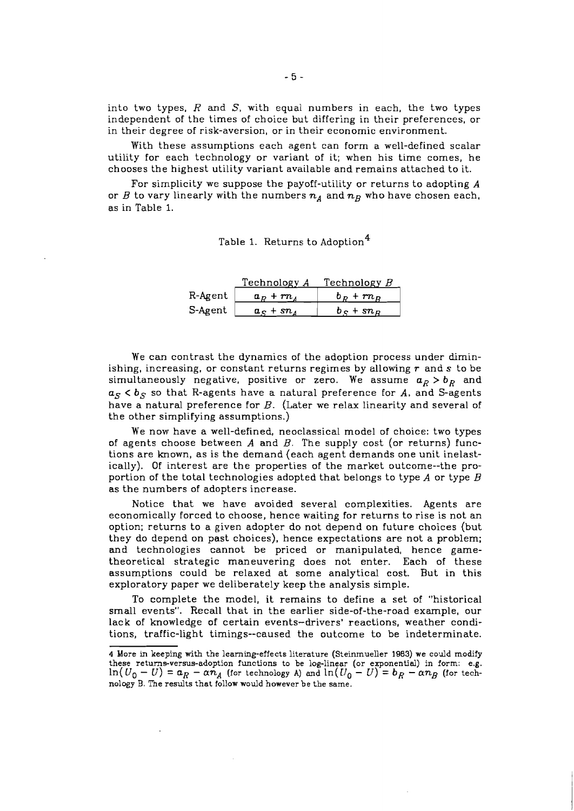into two types, R and *S,* with equal numbers in each, the two types independent of the times of choice but differing in their preferences, or in their degree of risk-aversion, or in their economic environment.

With these assumptions each agent can form a well-defined scalar utility for each technology or variant of it; when his time comes, he chooses the highest utility variant available and remains attached to it.

For simplicity we suppose the payoff-utility or returns to adopting **A**  or *B* to vary linearly with the numbers  $n_A$  and  $n_B$  who have chosen each, as in Table 1.

|  | Table 1. Returns to Adoption <sup>4</sup> |  |
|--|-------------------------------------------|--|
|--|-------------------------------------------|--|

|         | Technology A | Technology $B$ |
|---------|--------------|----------------|
| R-Agent | $a_p + rn_A$ | $b_p + rn_p$   |
| S-Agent | $a_c + sn_A$ | $b_c + sn_p$   |

We can contrast the dynamics of the adoption process under diminishing, increasing, or constant returns regimes by allowing *r* and *s* to be simultaneously negative, positive or zero. We assume  $a_R > b_R$  and  $a_S < b_S$  so that R-agents have a natural preference for A, and S-agents have a natural preference for B. (Later we relax linearity and several of the other simplifying assumptions.)

We now have a well-defined, neoclassical model of choice: two types of agents choose between *A* and B. The supply cost (or returns) functions are known, as is the demand (each agent demands one unit inelastically). Of interest are the properties of the market outcome--the proportion of the total technologies adopted that belongs to type *A* or type B as the numbers of adopters increase.

Notice that we have avoided several complexities. Agents are economically forced to choose, hence waiting for returns to rise is not an option; returns to a given adopter do not depend on future choices (but they do depend on past choices), hence expectations are not a problem; and technologies cannot be priced or manipulated, hence gametheoretical strategic maneuvering does not enter. Each of these assumptions could be relaxed at some analytical cost. But in this exploratory paper we deliberately keep the analysis simple.

To complete the model, it remains to define a set of "historical small events". Recall that in the earlier side-of-the-road example, our lack of knowledge of certain events-drivers' reactions, weather conditions, traffic-light timings--caused the outcome Lo be indeterminate.

**<sup>4</sup>** More in keeping with the learning-effects literature (Steinmueller **1983)** we could modify these returns-versus-adoption functions to be log-linear (or exponential) in form: e.g.  $\ln(U_0 - U) = a_R - \alpha n_A$  (for technology *A*) and  $\ln(U_0 - U) = b_R - \alpha n_B$  (for technology B. The results that follow would however be the same.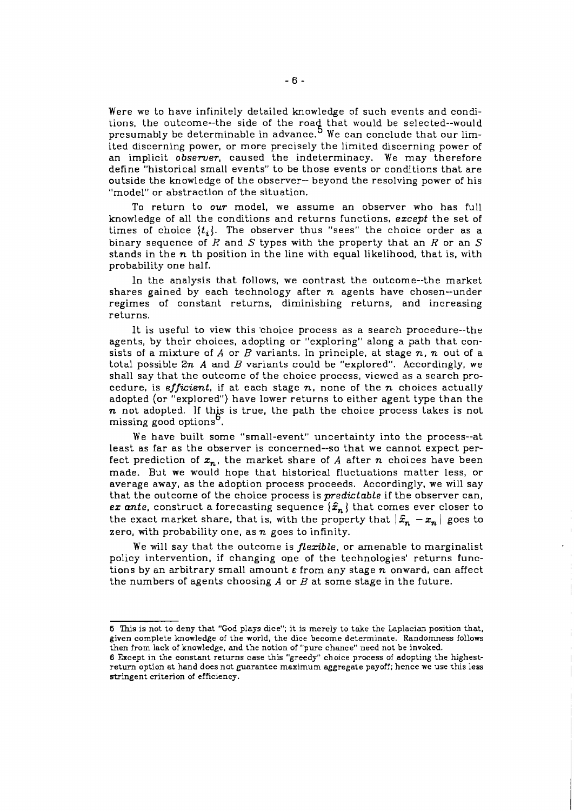Were we to have infinitely detailed knowledge of such events and conditions, the outcome--the side of the road that would be selected--would presumably be determinable in advance.<sup>9</sup> We can conclude that our limited discerning power, or more precisely the limited discerning power of an implicit *observer,* caused the indeterminacy. We may therefore define "historical small events" to be those events or conditions that are outside the knowledge of the observer- beyond the resolving power of his "model" or abstraction of the situation.

To return to *OUT* model, we assume an observer who has full knowledge of all the conditions and returns functions, *except* the set of times of choice  $\{t_i\}$ . The observer thus "sees" the choice order as a binary sequence of  $R$  and  $S$  types with the property that an  $R$  or an  $S$ stands in the *n* th position in the line with equal likelihood, that is, with probability one half.

In the analysis that follows, we contrast the outcome--the market shares gained by each technology after *n* agents have chosen--under regimes of constant returns, diminishing returns, and increasing returns.

It is useful to view this 'choice process as a search procedure--the agents, by their choices, adopting or "exploring" along a path that consists of a mixture of  $A$  or  $B$  variants. In principle, at stage  $n, n$  out of a total possible *Zn A* and *B* variants could be "explored". Accordingly, we shall say that the outcome of the choice process, viewed as a search procedure, is *efficient*, if at each stage  $n$ , none of the  $n$  choices actually adopted (or "explored") have lower returns to either agent type than the **n** not adopted. If this is true, the path the choice process takes is not missing good options<sup>6</sup>.

We have built some "small-event" uncertainty into the process--at least as far as the observer is concerned--so that we cannot expect perfect prediction of  $x_n$ , the market share of A after *n* choices have been made. But we would hope that historical fluctuations matter less, or average away, as the adoption process proceeds. Accordingly, we will say that the outcome of the choice process is *predictable* if the observer can, *ex ante*, construct a forecasting sequence  $\{\hat{x}_n\}$  that comes ever closer to the exact market share, that is, with the property that  $|\hat{x}_n - x_n|$  goes to zero, with probability one, as *n* goes to infinity.

We will say that the outcome is *flexible,* or amenable to marginalist policy intervention, if changing one of the technologies' returns functions by an arbitrary small amount *E* from any stage *n* onward, can affect the numbers of agents choosing *A* or *B* at some stage in the future.

**<sup>5</sup>** This is not to deny that "God plays dice"; it is merely to take the Laplacian position that, given complete knowledge of the world, the dice become determinate. Randomness follows then from lack of knowledge, and the notion of "pure chance" need not be invoked.

**<sup>8</sup>** Except in the constant returns case this "greedy" choice process of adopting the highestreturn option at hand does not guarantee maximum aggregate payoff; hence we use this less stringent criterion of efficiency.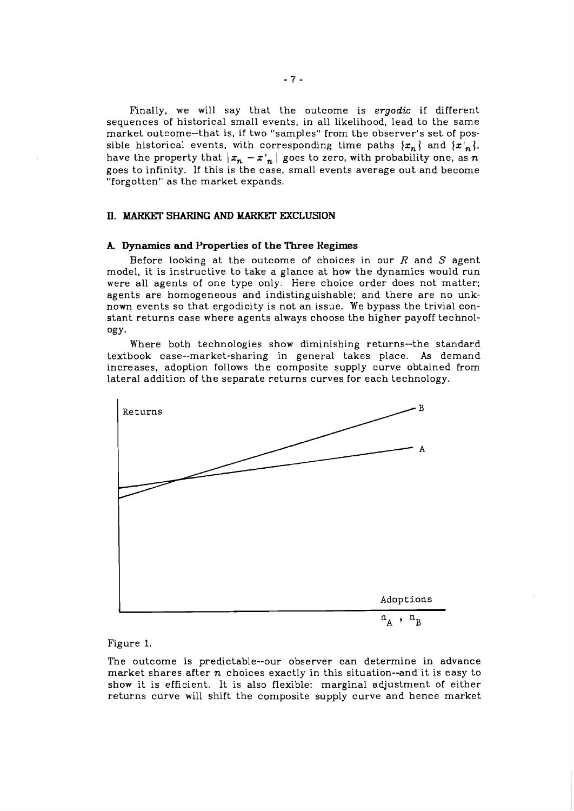Finally, we will say that the outcome is **ergodic** if different sequences of historical small events, in all likelihood, lead to the same market outcome--that is, if two "samples" from the observer's set of possible historical events, with corresponding time paths  $\{x_n\}$  and  $\{x'_n\}$ , have the property that  $|x_n - x'_n|$  goes to zero, with probability one, as n goes to infinity. If this is the case, small events average out and become "forgotten" as the market expands.

## **II. MARKET SHARING AND MARKET EXCLUSION**

### **k Dynamics and Properties of the Three Regimes**

Before looking at the outcome of choices in our  $R$  and  $S$  agent model, it is instructive to take a glance at how the dynamics would run were all agents of one type only. Here choice order does not matter; agents are homogeneous and indistinguishable; and there are no unknown events so that ergodicity is not an issue. We bypass the trivial constant returns case where agents always choose the higher payoff technology-

Where both technologies show diminishing returns--the standard textbook case--market-sharing in general takes place. **As** demand increases, adoption follows the composite supply curve obtained from lateral addition of the separate returns curves for each technology.



Figure 1.

The outcome is predictable--our observer can determine in advance market shares after  $n$  choices exactly in this situation--and it is easy to show it is efficient. It is also flexible: marginal adjustment of either returns curve will shift the composite supply curve and hence market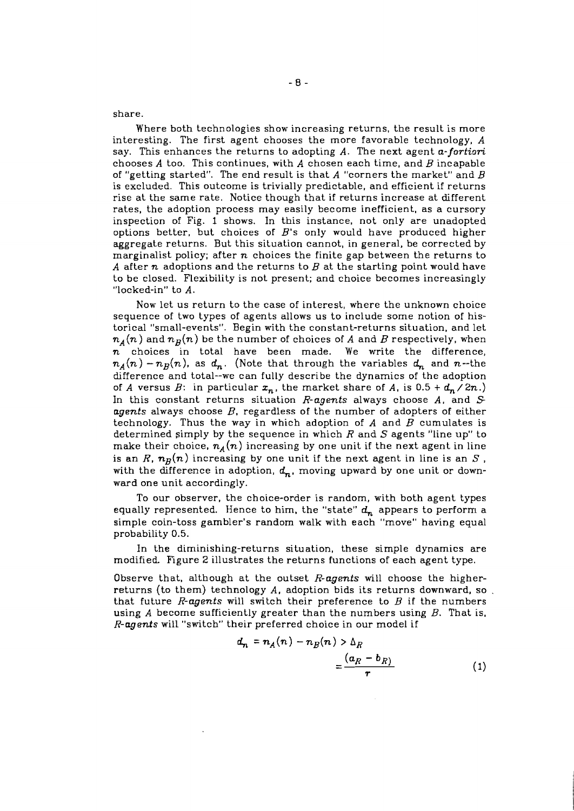share.

Where both technologies show increasing returns, the result is more interesting. The first agent chooses the more favorable technology, *A*  say. This enhances the returns to adopting *A.* The next agent a-fortiori chooses *A* too. This continues, with *A* chosen each time, and B incapable of "getting started". The end result is that  $A$  "corners the market" and  $B$ is excluded. This outcome is trivially predictable, and efficient if returns rise at the same rate. Notice though that if returns increase at different rates, the adoption process may easily become inefficient, as a cursory inspection of Fig. 1 shows. In this instance, not only are unadopted options better, but choices of  $B$ 's only would have produced higher aggregate returns. But this situation cannot, in general, be corrected by marginalist policy; after  $n$  choices the finite gap between the returns to *A* after n adoptions and the returns to B at the starting point would have to be closed. Flexibility is not present; and choice becomes increasingly "locked-in" to *A.* 

Now let us return to the case of interest, where the unknown choice sequence of two types of agents allows us to include some notion of historical "small-events". Begin with the constant-returns situation, and let  $n_A(n)$  and  $n_B(n)$  be the number of choices of  $A$  and  $B$  respectively, when  $\overline{n}$  choices in total have been made. We write the difference,  $n_A(n) - n_B(n)$ , as  $d_n$ . (Note that through the variables  $d_n$  and n--the difference and total--we can fully describe the dynamics of the adoption of *A* versus *B*: in particular  $x_n$ , the market share of *A*, is 0.5 +  $d_n$  / 2n.) In this constant returns situation R-agents always choose *A,* and *S*  agents always choose  $B$ , regardless of the number of adopters of either technology. Thus the way in which adoption of  $A$  and  $B$  cumulates is determined simply by the sequence in which R and *S* agents "line up" to make their choice,  $n_A(n)$  increasing by one unit if the next agent in line is an R,  $n_B(n)$  increasing by one unit if the next agent in line is an S, with the difference in adoption,  $d_n$ , moving upward by one unit or downward one unit accordingly.

To our observer, the choice-order is random, with both agent types equally represented. Hence to him, the "state"  $d_n$  appears to perform a simple coin-toss gambler's random walk with each "move" having equal probability 0.5.

In the diminishing-returns situation, these simple dynamics are modified. Figure 2 illustrates the returns functions of each agent type.

Observe that, although at the outset  $R$ -agents will choose the higherreturns (to them) technology *A,* adoption bids its returns downward, so that future R-agents will switch their preference to  $B$  if the numbers using *A* become sufficiently greater than the numbers using B. That is, R-agents will "switch" their preferred choice in our model if

$$
d_n = n_A(n) - n_B(n) > \Delta_R
$$
  
= 
$$
\frac{(a_R - b_R)}{r}
$$
 (1)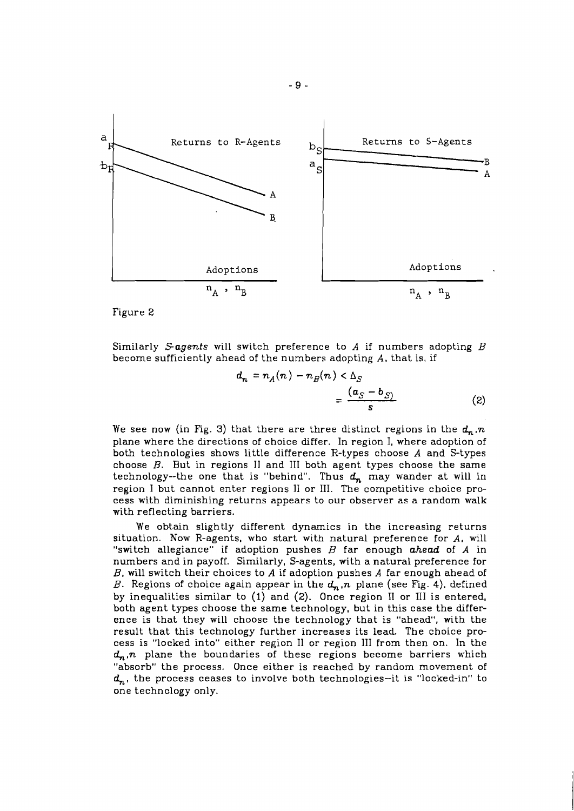

Figure 2

Similarly Sagents will switch preference to A if numbers adopting  $B$ become sufficiently ahead of the numbers adopting *A,* that is, if

$$
d_n = n_A(n) - n_B(n) < \Delta_S
$$
\n
$$
= \frac{(a_S - b_S)}{s} \tag{2}
$$

We see now (in Fig. 3) that there are three distinct regions in the  $d_n$ <sub>n</sub>. plane where the directions of choice differ. In region I, where adoption of both technologies shows little difference R-types choose **A** and S-types choose  $B$ . But in regions II and III both agent types choose the same technology--the one that is "behind". Thus  $d_n$  may wander at will in region I but cannot enter regions I1 or 111. The competitive choice process with diminishing returns appears to our observer as a random walk with reflecting barriers.

We obtain slightly different dynamics in the increasing returns situation. Now R-agents, who start with natural preference for **A,** will "switch allegiance" if adoption pushes B far enough ahead of **A** in numbers and in payoff. Similarly, S-agents, with a natural preference for *B,* will switch their choices to **A** if adoption pushes **A** far enough ahead of B. Regions of choice again appear in the  $d_n$ , *n* plane (see Fig. 4), defined by inequalities similar to (1) and **(2).** Once region I1 or 111 is entered, both agent types choose the same technology, but in this case the difference is that they will choose the technology that is "ahead", with the result that this technology further increases its lead The choice process is "locked into" either region 11 or region 111 from then on. In the  $d_n$ ,  $n$  plane the boundaries of these regions become barriers which "absorb" the process. Once either is reached by random movement of  $d_n$ , the process ceases to involve both technologies-it is "locked-in" to one technology only.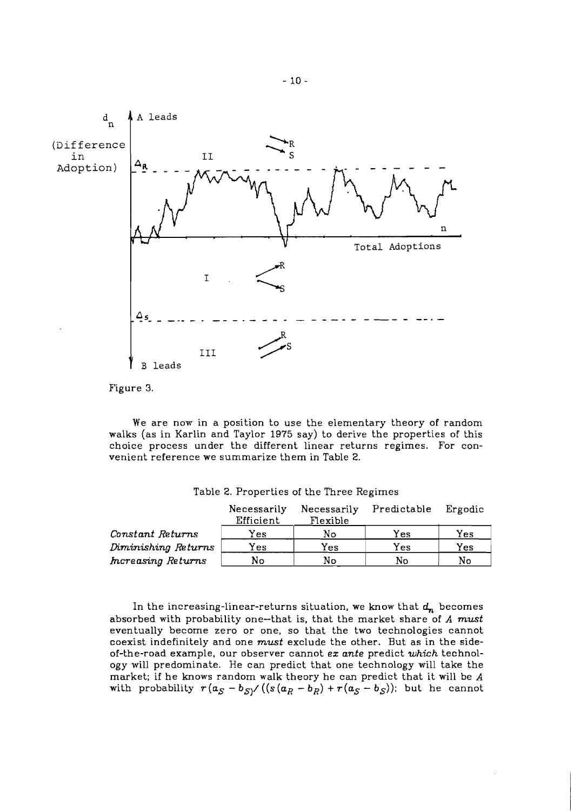

Figure **3.** 

We are now in a position to use the elementary theory of random walks (as in Karlin and Taylor 1975 say) to derive the properties of this choice process under the different linear returns regimes. For convenient reference we summarize them in Table 2.

|                     | Necessarily | Necessarily | Predictable | Ergodic |
|---------------------|-------------|-------------|-------------|---------|
|                     | Efficient   | Flexible    |             |         |
| Constant Returns    | Yes         | N٥          | Yes.        | Yes     |
| Diminishing Returns | Yes         | Yes         | Yes         | Yes     |
| Increasing Returns  | No          | No          | No          | No      |

Table 2. Properties of the Three Regimes

In the increasing-linear-returns situation, we know that  $d_n$  becomes absorbed with probability one-that is, that the market share of *A* must eventually become zero or one, so that the two technologies cannot coexist indefinitely and one must exclude the other. But as in the sideof-the-road example, our observer cannot **ez** ante predict *which* technology will predominate. He can predict that one technology will take the market; if he knows random walk theory he can predict that it will be *A* with probability  $r(a_S - b_S) / ((s(a_R - b_R) + r(a_S - b_S))$ ; but he cannot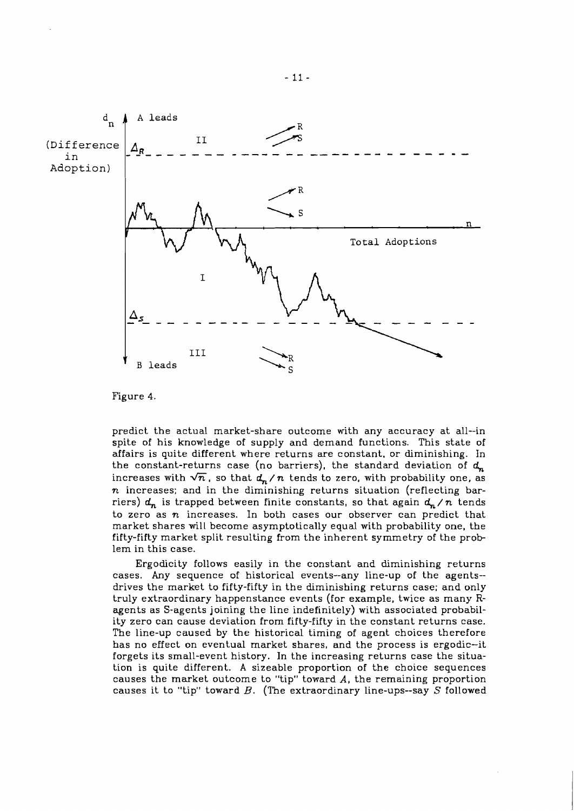

Figure 4.

predict the actual market-share outcome with any accuracy at all--in spite of his knowledge of supply and demand functions. This state of affairs is quite different where returns are constant, or diminishing. In the constant-returns case (no barriers), the standard deviation of  $d_n$ increases with  $\sqrt{n}$ , so that  $d_n/n$  tends to zero, with probability one, as n increases; and in the diminishing returns situation (reflecting barriers)  $d_n$  is trapped between finite constants, so that again  $d_n/n$  tends to zero as  $n$  increases. In both cases our observer can predict that market shares will become asymptotically equal with probability one, the fifty-fifty market split resulting from the inherent symmetry of the problem in this case.

Ergodicity follows easily in the constant and diminishing returns cases. Any sequence of historical events--any line-up of the agents- drives the market to fifty-fifty in the diminishing returns case; and only truly extraordinary happenstance events (for example, twice as many Ragents as S-agents joining the line indefinitely) with associated probability zero can cause deviation from fifty-fifty in the constant returns case. The line-up caused by the historical timing of agent choices therefore has no effect on eventual market shares, and the process is ergodic-it forgets its small-event history. In the increasing returns case the situation is quite different. **A** sizeable proportion of the choice sequences causes the market outcome to "tip" toward *A,* the remaining proportion causes it to "tip" toward  $B$ . (The extraordinary line-ups--say  $S$  followed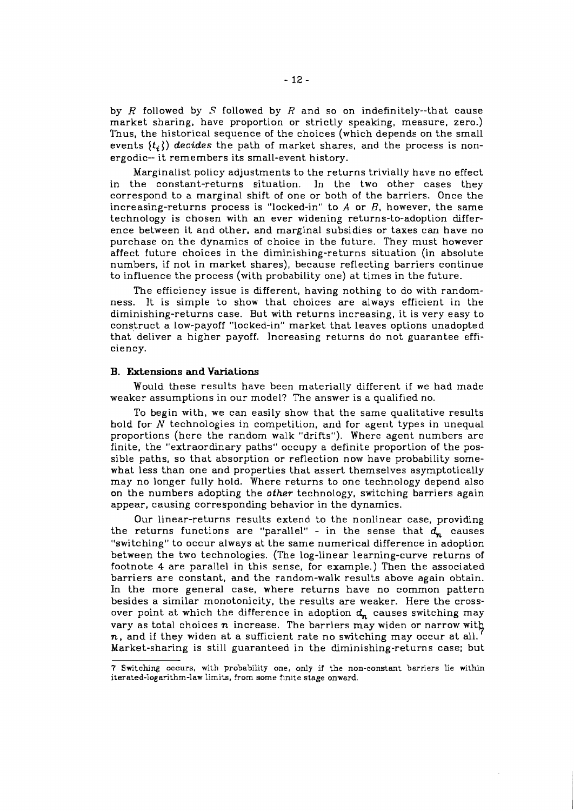by  $R$  followed by  $S$  followed by  $R$  and so on indefinitely--that cause market sharing, have proportion or strictly speaking, measure, zero.) Thus, the historical sequence of the choices (which depends on the small events  $\{t_i\}$  *decides* the path of market shares, and the process is nonergodic- it remembers its small-event history.

Marginalist policy adjustments to the returns trivially have no effect in the constant-returns situation. In the two other cases they correspond to a marginal shift of one or both of the barriers. Once the increasing-returns process is "locked-in" to A or *B,* however, the same technology is chosen with an ever widening returns-to-adoption difference between it and other, and marginal subsidies or taxes can have no purchase on the dynamics of choice in the future. They must however affect future choices in the diminishing-returns situation (in absolute numbers, if not in market shares), because reflecting barriers continue to influence the process (with probability one) at times in the future.

The efficiency issue is different, having nothing to do with randomness. It is simple to show that choices are always efficient in the diminishing-returns case. But with returns increasing, it is very easy to construct a low-payoff "locked-in" market that leaves options unadopted that deliver a higher payoff. Increasing returns do not guarantee efficiency.

## **B. Extensions and Variations**

Would these results have been materially different if we had made weaker assumptions in our model? The answer is a qualified no.

To begin with, we can easily show that the same qualitative results hold for  $N$  technologies in competition, and for agent types in unequal proportions (here the random walk "drifts"). Where agent numbers are finite, the "extraordinary paths" occupy a definite proportion of the possible paths, so that absorption or reflection now have probability somewhat less than one and properties that assert themselves asymptotically may no longer fully hold. Where returns to one technology depend also on the numbers adopting the *other* technology, switching barriers again appear, causing corresponding behavior in the dynamics.

Our linear-returns results extend to the nonlinear case, providing the returns functions are "parallel" - in the sense that  $d_n$  causes "switching" to occur always at the same numerical difference in adoption between the two technologies. (The log-linear learning-curve returns of footnote 4 are parallel in this sense, for example.) Then the associated barriers are constant, **and** the random-walk results above again obtain. In the more general case, where returns have no common pattern besides a similar monotonicity, the results are weaker. Here the crossover point at which the difference in adoption  $d_n$  causes switching may vary as total choices  $n$  increase. The barriers may widen or narrow with  $n$ , and if they widen at a sufficient rate no switching may occur at all. Market-sharing is still guaranteed in the diminishing-returns case; but

**<sup>7</sup>** Switching occurs, with probability one, only if the non-constant barriers lie within iterated-logarithm-law limits, from some finite stage onward.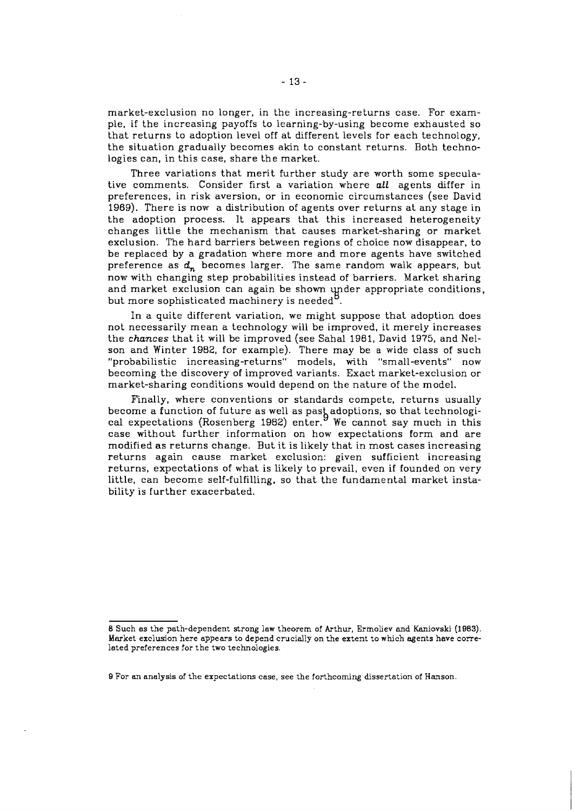market-exclusion no longer, in the increasing-returns case. For example, if the increasing payoffs to learning-by-using become exhausted so that returns to adoption level off at different levels for each technology, the situation gradually becomes akin to constant returns. Both technologies can, in this case, share the market.

Three variations that merit further study are worth some speculative comments. Consider first a variation where *all* agents differ in preferences, in risk aversion, or in economic circumstances (see David 1969). There is now a distribution of agents over returns at any stage in the adoption process. It appears that this increased heterogeneity changes little the mechanism that causes market-sharing or market exclusion. The hard barriers between regions of choice now disappear, to be replaced by a gradation where more and more agents have switched preference as  $d_n$  becomes larger. The same random walk appears, but now with changing step probabilities instead of barriers. Market sharing and market exclusion can again be shown under appropriate conditions, but more sophisticated machinery is needed

In a quite different variation, we might suppose that adoption does not necessarily mean a technology will be improved, it merely increases the *chances* that it will be improved (see Sahal 1981, David 1975, and Nelson and Winter 1982, for example). There may be a wide class of such "probabilistic increasing-returns" models, with "small-events" now becoming the discovery of improved variants. Exact market-exclusion or market-sharing conditions would depend on the nature of the model.

Finally, where conventions or standards compete, returns usually become a function of future as well as past adoptions, so that technological expectations (Rosenberg 1982) enter. We cannot say much in this case without further information on how expectations form and are modified as returns change. But it is likely that in most cases increasing returns again cause market exclusion: given sufficient increasing returns, expectations of what is likely to prevail, even if founded on very little, can become self-fulfilling, so that the fundamental market instability is further exacerbated.

**<sup>8</sup>** Such as the path-dependent strong law theorem of Arthur, Ermoliev and Kaniovski (1983). Market exclusion here appears to depend crucially on the extent to which agents have correlated preferences for the two technologies.

**B** For an analysis of the expectations case, see the forthcoming dissertation of Hanson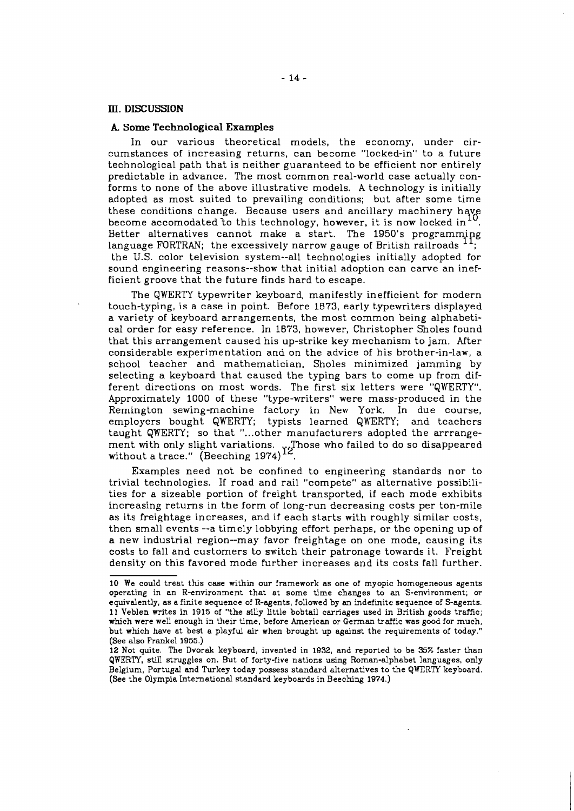#### III. **DISCUSSION**

#### **k Some Technological Examples**

In our various theoretical models, the economy, under circumstances of increasing returns, can become "locked-in" to a future technological path that is neither guaranteed to be efficient nor entirely predictable in advance. The most common real-world case actually conforms to none of the above illustrative models. **A** technology is initially adopted as most suited to prevailing conditions; but after some time these conditions change. Because users and ancillary machinery have become accomodated to this technology, however, it is now locked in  $^{10}$ .<br>Better alternatives cannot make a start. The 1950's programming language FORTRAN; the excessively narrow gauge of British railroads <sup>11</sup> the U.S. color television system--all technologies initially adopted for sound engineering reasons--show that initial adoption can carve an inefficient groove that the future finds hard to escape.

The QWERTY typewriter keyboard, manifestly inefficient for modern touch-typing, is a case in point. Before 1073, early typewriters displayed a variety of keyboard arrangements, the most common being alphabetical order for easy reference. In 1873, however, Christopher Sholes found that this arrangement caused his up-strike key mechanism to jam. After considerable experimentation and on the advice of his brother-in-law, a school teacher and mathematician, Sholes minimized jamming by selecting a keyboard that caused the typing bars to come up from different directions on most words. The first six letters were "QWERTY". Approximately 1000 of these "type-writers" were mass-produced in the Remington sewing-machine factory in New York. In due course, employers bought QWERTY; typists learned QWERTY; and teachers taught QWERTY; so that "...other manufacturers adopted the arrrangement with only slight variations. Those who failed to do so disappeared without a trace." (Beeching 1974)<sup>12</sup>.

Examples need not be confined to engineering standards nor to trivial technologies. If road and rail "compete" as alternative possibilities for a sizeable portion of freight transported, if each mode exhibits increasing returns in the form of long-run decreasing costs per ton-mile as its freightage increases, and if each starts with roughly similar costs, then small events --a timely lobbying effort perhaps, or the opening up of a new industrial region--may favor freightage on one mode, causing its costs to fall and customers to switch their patronage towards it. Freight density on this favored mode further increases and its costs fall further.

<sup>10</sup> We could treat this case within our framework as one of myopic homogeneous agents operating in an R-environment that at some time changes to an S-environment; or equivalently, as a finite sequence of R-agents, followed by an indefinite sequence of S-agents. **11** Veblen writes in 1915 of "the silly little bobtail carriages used in British goods traffic; which were well enough in their time, before American or German traffic was good for much, but which have at best a playful air when brought up against the requirements of today." (See also Frankel 1955.)

<sup>12</sup> Not quite. The Dvorak keyboard, invented in 1932, and reported to be 35% faster than QWERTY, still struggles on. But of forty-five nations using Roman-alphabet languages, only Belgium, Portugal and Turkey today possess standard alternatives to the QWERTY keyboard, (See the Olympia Lnternational standard keyboards in Beeching 1974.)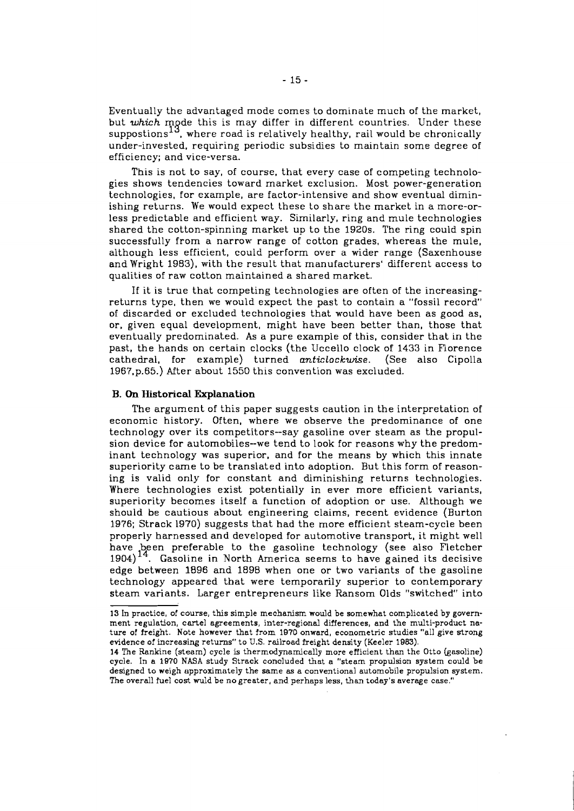Eventually the advantaged mode comes to dominate much of the market, but *which* mode this is may differ in different countries. Under these suppostions $^{13}$ , where road is relatively healthy, rail would be chronically under-invested, requiring periodic subsidies to maintain some degree of efficiency; and vice-versa.

This is not to say, of course, that every case of competing technologies shows tendencies toward market exclusion. Most power-generation technologies, for example, are factor-intensive and show eventual diminishing returns. We would expect these to share the market in a more-orless predictable and efficient way. Similarly, ring and mule technologies shared the cotton-spinning market up to the 1920s. The ring could spin successfully from a narrow range of cotton grades, whereas the mule, although less efficient, could perform over a wider range (Saxenhouse and Wright 1983), with the result that manufacturers' different access to qualities of raw cotton maintained a shared market.

If it is true that competing technologies are often of the increasingreturns type, then we would expect the past to contain a "fossil record of discarded or excluded technologies that would have been as good as, or, given equal development, might have been better than, those that eventually predominated. As a pure example of this, consider that in the past, the hands on certain clocks (the Uccello clock of 1433 in Florence cathedral, for example) turned **anticlockwise.** (See also Cipolla 1967.p.65.) After about 1550 this convention was excluded.

### **B. On Historical Explanation**

The argument of this paper suggests caution in the interpretation of economic history. Often, where we observe the predominance of one technology over its competitors--say gasoline over steam as the propulsion device for automobiles--we tend to look for reasons why the predominant technology was superior, and for the means by which this innate superiority came to be translated into adoption. But this form of reasoning is valid only for constant and diminishing returns technologies. Where technologies exist potentially in ever more efficient variants, superiority becomes itself a function of adoption or use. Although we should be cautious about engineering claims, recent evidence (Burton 1976; Strack 1970) suggests that had the more efficient steam-cycle been properly harnessed and developed for automotive transport, it might well have been preferable to the gasoline technology (see also Fletcher  $1904$ <sup> $14$ </sup>. Gasoline in North America seems to have gained its decisive edge between 1896 and 1898 when one or two variants of the gasoline technology appeared that were temporarily superior to contemporary steam variants. Larger entrepreneurs like Ransom Olds "switched" into

<sup>13</sup> In practice, of course, this simple mechanism would be somewhat complicated by government regulation, cartel agreements, inter-regional differences, and the multi-product nature of freight. Note however that from 1870 onward, econometric studies "all give strong evidence of increasing returns" to **U.S.** railroad freight density (Keeler 1883).

<sup>14</sup> The Rankine (steam) cycle is thermodynamically more efficient than the Otto (gasoline) cycle. In a 1970 NASA study Strack concluded that a "steam propulsion system could be designed to weigh approximately the same as a conventional automobile propulsion system. The overall fuel cost wuld be no greater, and perhaps less, than today's average case."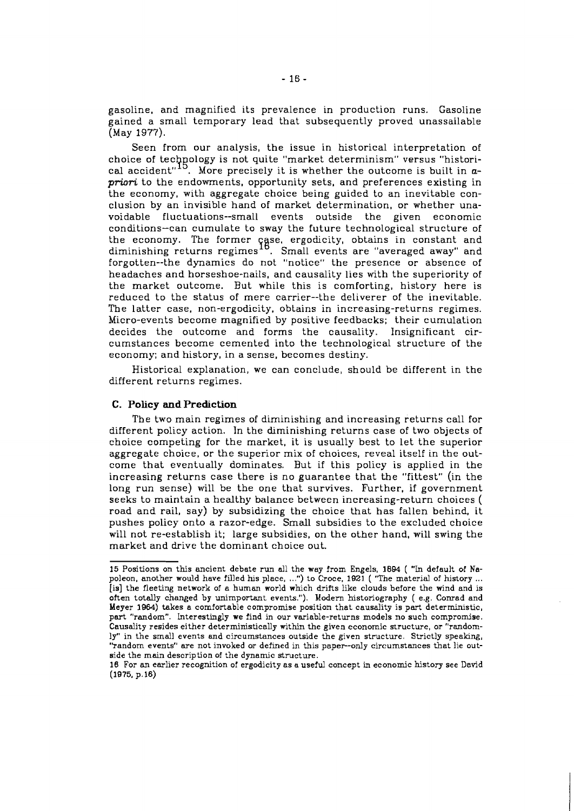gasoline, and magnified its prevalence in production runs. Gasoline gained a small temporary lead that subsequently proved unassailable (May 1977).

Seen from our analysis, the issue in historical interpretation of choice of technology is not quite "market determinism" versus "historical accident"<sup>15</sup>. More precisely it is whether the outcome is built in  $a$ *priori* to the endowments, opportunity sets, and preferences existing in the economy, with aggregate choice being guided to an inevitable conclusion by an invisible hand of market determination, or whether unavoidable fluctuations--small events outside the given economic conditions-can cumulate to sway the future technological structure of the economy. The former case, ergodicity, obtains in constant and<br>diminishing returns regimes <sup>16</sup>. Small events are "averaged away" and forgotten--the dynamics do not "notice" the presence or absence of headaches and horseshoe-nails, and causality lies with the superiority of the market outcome. But while this is comforting, history here is reduced to the status of mere carrier--the deliverer of the inevitable. The latter case, non-ergodicity, obtains in increasing-returns regimes. Micro-events become magnified by positive feedbacks; their cumulation decides the outcome and forms the causality. Insignificant circumstances become cemented into the technological structure of the economy; and history, in a sense, becomes destiny.

Historical explanation, we can conclude, should be different in the different returns regimes.

## **C. Policy and Prediction**

The two main regimes of diminishing and increasing returns call for different policy action. In the diminishing returns case of two objects of choice competing for the market, it is usually best to let the superior aggregate choice, or the superior mix of choices, reveal itself in the outcome that eventually dominates. But if this policy is applied in the increasing returns case there is no guarantee that the "fittest" (in the long run sense) will be the one that survives. Further, if government seeks to maintain a healthy balance between increasing-return choices ( road and rail, say) by subsidizing the choice that has fallen behind, it pushes policy onto a razor-edge. Small subsidies to the excluded choice will not re-establish it; large subsidies, on the other hand, will swing the market and drive the dominant choice out.

<sup>15</sup> Positions on this ancient debate run all the way from Engels, 1894 ( "In default of Na-[is] the fleeting network of a human world which drifts like clouds before the wind and is often totally changed by unimportant events."). Modem historiography ( e.g. Conrad and Meyer 1061) takes a comfortable compromise position that causality is part deterministic, part "random". Interestingly we find in our variable-returns models no such compromise. Causality resides either deterministically within the given economic structure, or "randomly" in the small events and circumstances outside the given structure. Strictly speaking, "random events" are not invoked or defined in this paper--only circumstances that lie outside the **main** description of the dynamic structure.

<sup>16</sup> For an earlier recognition of ergodicity as a useful concept in economic history see David  $(1975, p.16)$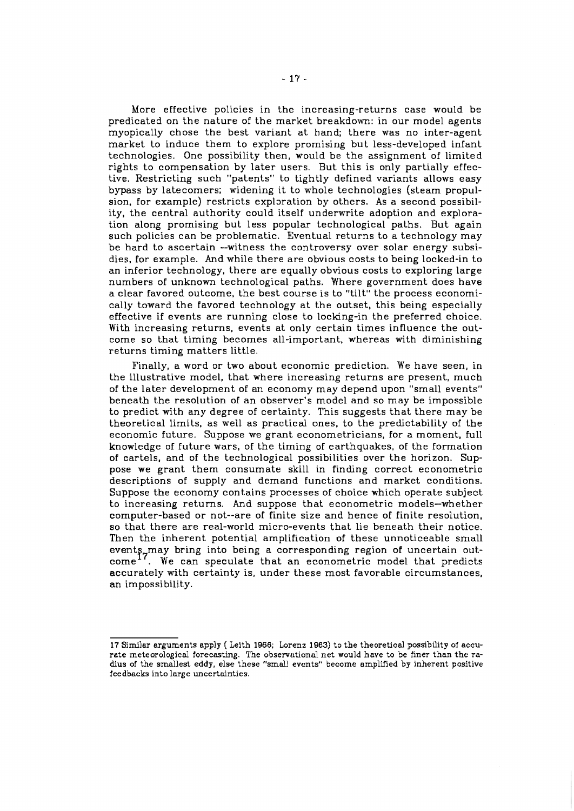More effective policies in the increasing-returns case would be predicated on the nature of the market breakdown: in our model agents myopically chose the best variant at hand; there was no inter-agent market to induce them to explore promising but less-developed infant technologies. One possibility then, would be the assignment of limited rights to compensation by later users. But this is only partially effective. Restricting such "patents" to tightly defined variants allows easy bypass by latecomers; widening it to whole technologies (steam propulsion, for example) restricts exploration by others. As a second possibility, the central authority could itself underwrite adoption and exploration along promising but less popular technological paths. But again such policies can be problematic. Eventual returns to a technology may be hard to ascertain --witness the controversy over solar energy subsidies, for example. And while there are obvious costs to being locked-in to an inferior technology, there are equally obvious costs to exploring large numbers of unknown technological paths. Where government does have a clear favored outcome, the best course is to "tilt" the process economically toward the favored technology at the outset, this being especially effective if events are running close to locking-in the preferred choice. With increasing returns, events at only certain times influence the outcome so that timing becomes all-important, whereas with diminishing returns timing matters little.

Finally, a word or two about economic prediction. We have seen, in the illustrative model, that where increasing returns are present, much of the later development of an economy may depend upon "small events" beneath the resolution of an observer's model and so may be impossible to predict with any degree of certainty. This suggests that there may be theoretical limits, as well as practical ones, to the predictability of the economic future. Suppose we grant econometricians, for a moment, full knowledge of future wars, of the timing of earthquakes, of the formation of cartels, and of the technological possibilities over the horizon. Suppose we grant them consumate skill in finding correct econometric descriptions of supply and demand functions and market conditions. Suppose the economy contains processes of choice which operate subject to increasing returns. And suppose that econometric models-whether computer-based or not--are of finite size and hence of finite resolution, so that there are real-world micro-events that lie beneath their notice. Then the inherent potential amplification of these unnoticeable small events, may bring into being a corresponding region of uncertain out $come<sup>17</sup>$ . We can speculate that an econometric model that predicts accurately with certainty is, under these most favorable circumstances, an impossibility.

<sup>17</sup> Similar arguments apply ( Leith **1066;** Lorenz **1863)** to the theoretical possibility oi accurate meteorological forecasting. The observational net would have to be finer than the radius of the smallest eddy, else these "small events" become amplified by inherent positive feedbacks into large uncertainties.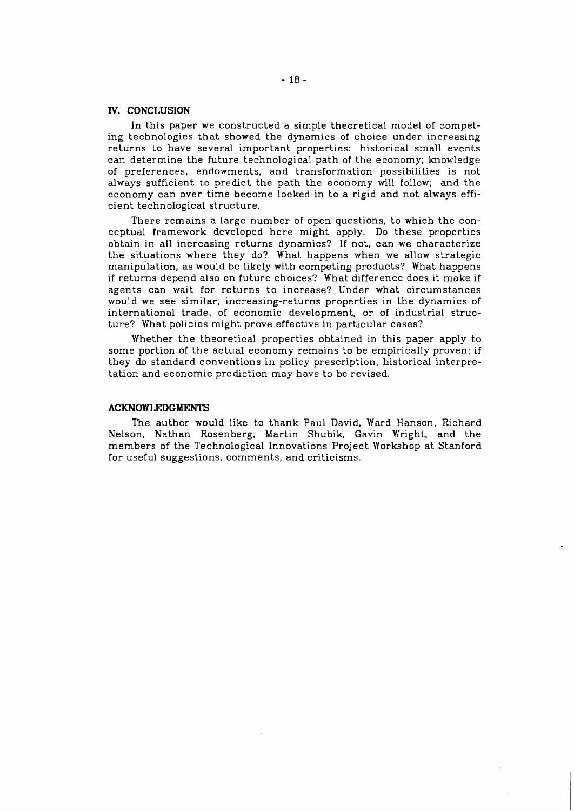## **IV. CONCLUSION**

In this paper we constructed a simple theoretical model of competing technologies that showed the dynamics of choice under increasing returns to have several important properties: historical small events can determine the future technological path of the economy; knowledge of preferences, endowments, and transformation possibilities is not always sufficient to predict the path the economy will follow; and the economy can over time become locked in to a rigid and not always efficient technological structure.

There remains a large number of open questions, to which the conceptual framework developed here might apply. Do these properties obtain in all increasing returns dynamics? If not, can we characterize the situations where they do? What happens when we allow strategic manipu'lation, as would be likely with competing products? What happens if returns depend also on future choices? What difference does it make if agents can wait for returns to increase? Under what circumstances would we see similar, increasing-returns properties in the dynamics of international trade, of economic development, or of industrial structure? What policies might prove effective in particular cases?

Whether the theoretical properties obtained in this paper apply to some portion of the actual economy remains to be empirically proven; if they do standard conventions in policy prescription, historical interpretation and economic prediction may have to be revised.

#### **ACKNOWLEDGMENTS**

The author would like to thank Paul David, Ward Hanson, Richard Nelson, Nathan Rosenberg, Martin Shubik, Gavin Wright, and the members of the Technological Innovations Project Workshop at Stanford for useful suggestions, comments, and criticisms.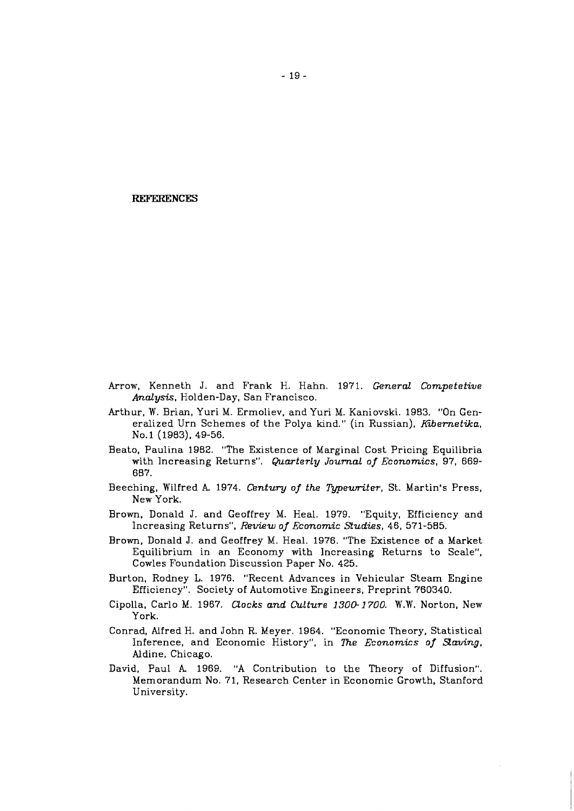#### **REFERENCES**

- Arrow, Kenneth J. and Frank H. Hahn. 1971. *General Competetive Analysis,* Holden-Day, San Francisco.
- Arthur, W. Brian, Yuri M. Ermoliev, and Yuri M. Kaniovski. 1983. "On Generalized Urn Schemes of the Polya kind." (in Russian), *Kibernetika,*  NO. 1 (1983), 49-56.
- Beato, Paulina 1982. "The Existence of Marginal Cost Pricing Equilibria with Increasing Returns". *Quarterly Journal of Economics,* 97, 669- 687.
- Beeching, Wilfred A. 1974. *Century of the Typeuriter*, St. Martin's Press, New York.
- Brown, Donald J. and Geoffrey M. Heal. 1979. "Equity, Efficiency and Increasing Returns", *Review of Economic Studies,* 46, 571-585.
- Brown, Donald J. and Geoffrey M. Heal. 1976. "The Existence of a Market Equilibrium in an Economy with Increasing Returns to Scale", Cowles Foundation Discussion Paper No. 425.
- Burton, Rodney L. 1976. "Recent Advances in Vehicular Steam Engine Efficiency". Society of Automotive Engineers, Preprint 760340.
- Cipolla, Carlo M. 1967. *Qocks and Culture* **1300-1700.** W.W. Norton, New York.
- Conrad, Alfred H. and John R. Meyer. 1964. "Economic Theory. Statistical Inference, and Economic History", in **7he** *Economics of Saving,*  Aldine, Chicago.
- David, Paul **k** 1969. "A Contribution to the Theory of Diffusion". Memorandum No. 71, Research Center in Economic Growth, Stanford University.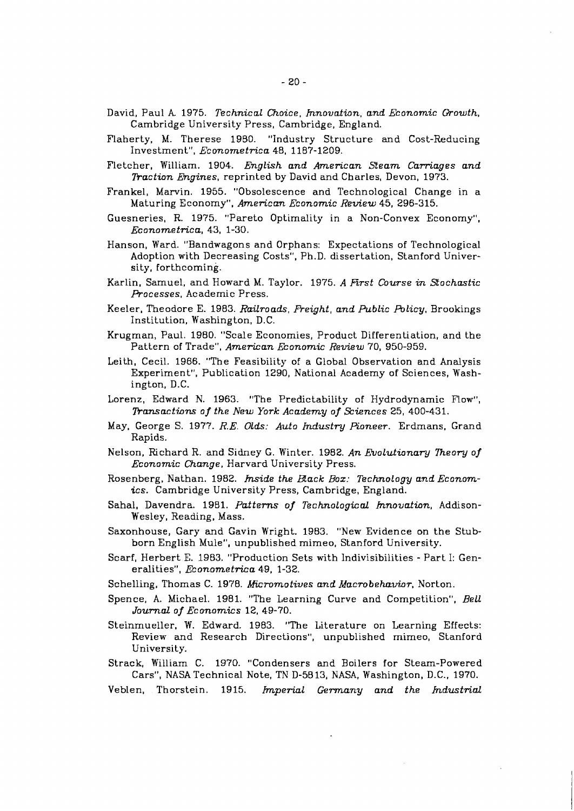- David, Paul *A* 1975. *Technical Choice, hnovation, and Economic Growth,*  Cambridge University Press, Cambridge, England.
- Flaherty, M. Therese 1980. "Industry Structure and Cost-Reducing Investment", *Econornetrica* 48, 1187-1209.
- Fletcher, William. 1904. *English and American Steam Carriages and Paction Engines,* reprinted by David and Charles, Devon, 1973.
- Frankel, Marvin. 1955. "Obsolescence and Technological Change in a Maturing Economy", *American Economic Review* 45, 296-315.
- Guesneries, R. 1975. "Pareto Optimality in a Non-Convex Economy", *Econornetrica,* 43, 1-30.
- Hanson, Ward. "Bandwagons and Orphans: Expectations of Technological Adoption with Decreasing Costs", Ph.D. dissertation, Stanford University, forthcoming.
- Karlin, Samuel, and Howard M. Taylor. 1975. A First Course in Stochastic *Processes,* Academic Press.
- Keeler, Theodore E. 1983. Railroads, Freight, and Public Policy, Brookings Institution, Washington, D.C.
- Krugman, Paul. 1980. "Scale Economies, Product Differentiation, and the Pattern of Trade", *American Economic Review* 70, 950-959.
- Leith, Cecil. 1966. "The Feasibility of a Global Observation and Analysis Experiment", Publication 1290, National Academy of Sciences, Washington, D.C.
- Lorenz, Edward N. 1963. "The Predictability of Hydrodynamic Flow", *Pansactions of the New York Academy of Sciences* 25, 400-431.
- May, George S. 1977. *R.E. Olds: Auto Industry Pioneer.* Erdmans, Grand Rapids.
- Nelson, Richard R. and Sidney G. Winter. 1982. An Evolutionary Theory of *Economic Change,* Harvard University Press.
- Rosenberg, Nathan. 1982. *hide the Back Boz: Technology and Economics.* Cambridge University Press, Cambridge, England.
- Sahal, Davendra. 1981. Patterns of Technological *Innovation*, Addison-Wesley, Reading. Mass.
- Saxonhouse, Gary and Gavin Wright. 1983. "New Evidence on the Stubborn English Mule", unpublished mimeo, Stanford University.
- Scarf, Herbert E. 1983. "Production Sets with lndivisibilities Part I: Generalities", *Econometrica* 49, 1-32.
- Schelling, Thomas C. 1978. *Micromotives and Macrobehavior,* Norton.
- Spence, A. Michael. 1981. "The Learning Curve and Competition", *Bell Journal of Economics* 12, 49-70.
- Steinmueller, W. Edward. 1983. "The Literature on Learning Effects: Review and Research Directions", unpublished mimeo, Stanford University.
- Strack, William C. 1970. "Condensers and Boilers for Steam-Powered Cars", NASATechnical Note, TN D-5813, NASA, Washington, D.C., 1970.
- Veblen, Thorstein. 1915. *Imperial &many and the Industrial*